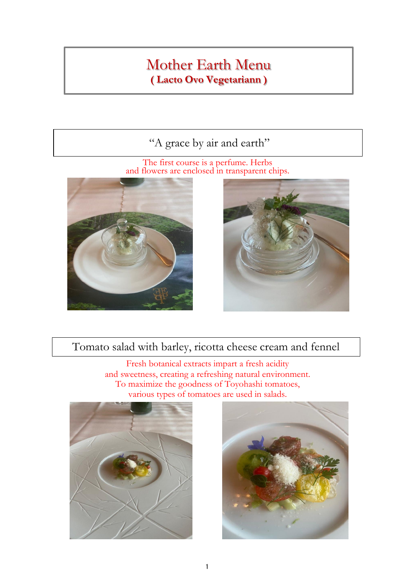### "A grace by air and earth"

The first course is a perfume. Herbs and flowers are enclosed in transparent chips.





#### Tomato salad with barley, ricotta cheese cream and fennel

Fresh botanical extracts impart a fresh acidity various types of tomatoes are used in salads. and sweetness, creating a refreshing natural environment. To maximize the goodness of Toyohashi tomatoes,



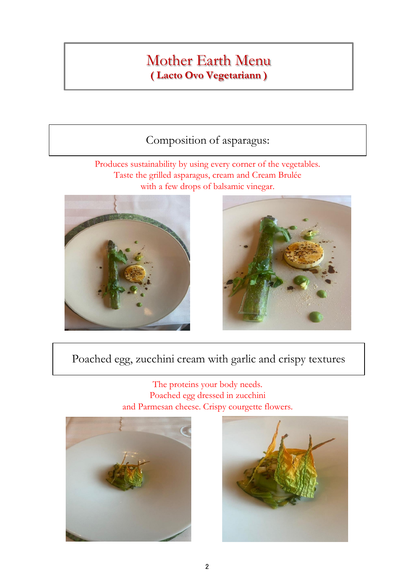### Composition of asparagus:

Taste the grilled asparagus, cream and Cream Brulée with a few drops of balsamic vinegar. Produces sustainability by using every corner of the vegetables.





### Poached egg, zucchini cream with garlic and crispy textures

The proteins your body needs. Poached egg dressed in zucchini and Parmesan cheese. Crispy courgette flowers.



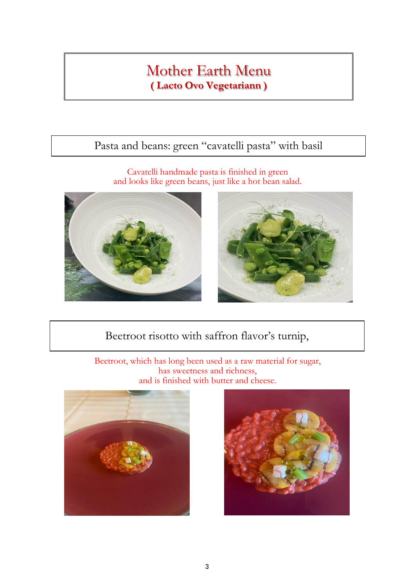# Pasta and beans: green "cavatelli pasta" with basil

and looks like green beans, just like a hot bean salad. Cavatelli handmade pasta is finished in green





## Beetroot risotto with saffron flavor's turnip,

and is finished with butter and cheese. Beetroot, which has long been used as a raw material for sugar, has sweetness and richness,



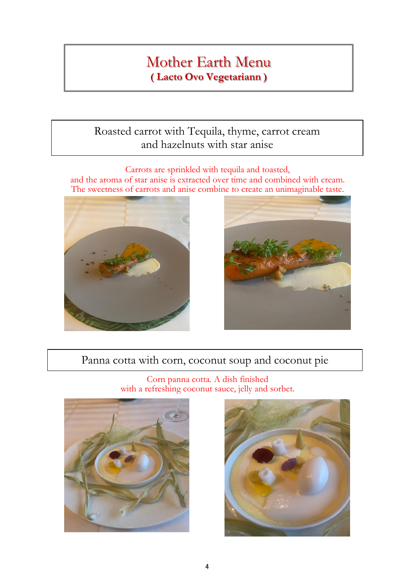#### Roasted carrot with Tequila, thyme, carrot cream and hazelnuts with star anise

and the aroma of star anise is extracted over time and combined with cream. The sweetness of carrots and anise combine to create an unimaginable taste. Carrots are sprinkled with tequila and toasted,





#### Panna cotta with corn, coconut soup and coconut pie

Corn panna cotta. A dish finished